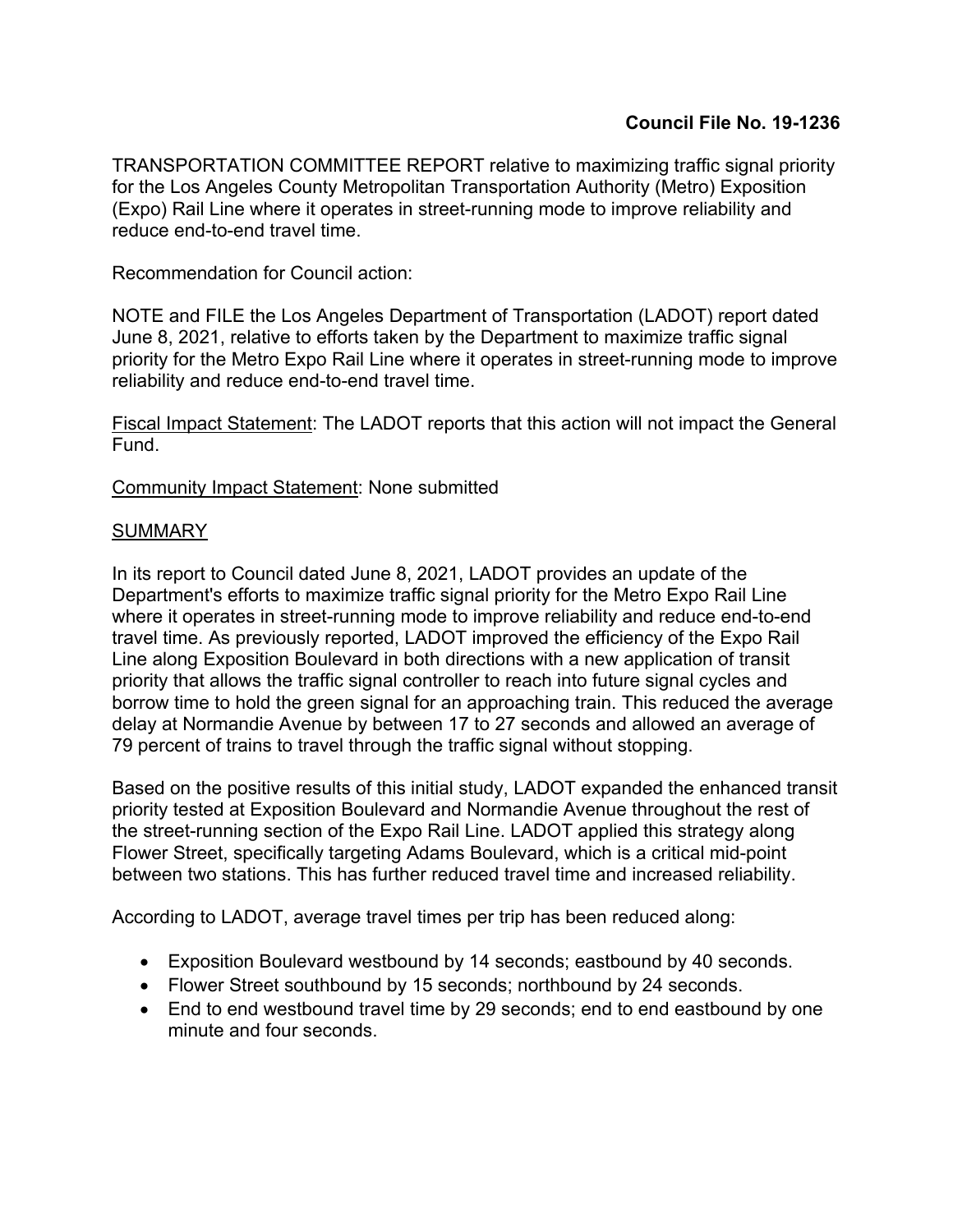TRANSPORTATION COMMITTEE REPORT relative to maximizing traffic signal priority for the Los Angeles County Metropolitan Transportation Authority (Metro) Exposition (Expo) Rail Line where it operates in street-running mode to improve reliability and reduce end-to-end travel time.

Recommendation for Council action:

NOTE and FILE the Los Angeles Department of Transportation (LADOT) report dated June 8, 2021, relative to efforts taken by the Department to maximize traffic signal priority for the Metro Expo Rail Line where it operates in street-running mode to improve reliability and reduce end-to-end travel time.

Fiscal Impact Statement: The LADOT reports that this action will not impact the General Fund.

Community Impact Statement: None submitted

## **SUMMARY**

In its report to Council dated June 8, 2021, LADOT provides an update of the Department's efforts to maximize traffic signal priority for the Metro Expo Rail Line where it operates in street-running mode to improve reliability and reduce end-to-end travel time. As previously reported, LADOT improved the efficiency of the Expo Rail Line along Exposition Boulevard in both directions with a new application of transit priority that allows the traffic signal controller to reach into future signal cycles and borrow time to hold the green signal for an approaching train. This reduced the average delay at Normandie Avenue by between 17 to 27 seconds and allowed an average of 79 percent of trains to travel through the traffic signal without stopping.

Based on the positive results of this initial study, LADOT expanded the enhanced transit priority tested at Exposition Boulevard and Normandie Avenue throughout the rest of the street-running section of the Expo Rail Line. LADOT applied this strategy along Flower Street, specifically targeting Adams Boulevard, which is a critical mid-point between two stations. This has further reduced travel time and increased reliability.

According to LADOT, average travel times per trip has been reduced along:

- Exposition Boulevard westbound by 14 seconds; eastbound by 40 seconds.
- Flower Street southbound by 15 seconds; northbound by 24 seconds.
- End to end westbound travel time by 29 seconds; end to end eastbound by one minute and four seconds.